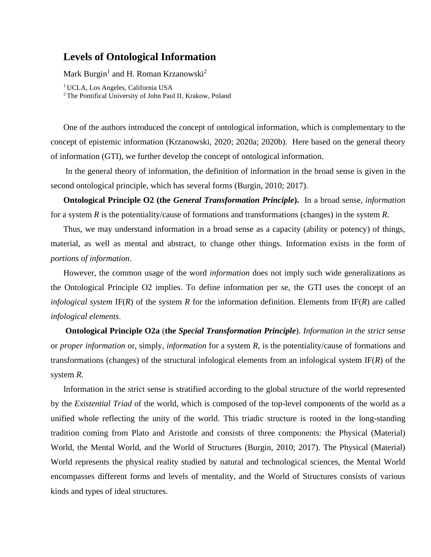## **Levels of Ontological Information**

Mark Burgin<sup>1</sup> and H. Roman Krzanowski<sup>2</sup>

<sup>1</sup>UCLA, Los Angeles, California USA <sup>2</sup>The Pontifical University of John Paul II, Krakow, Poland

One of the authors introduced the concept of ontological information, which is complementary to the concept of epistemic information (Krzanowski, 2020; 2020a; 2020b). Here based on the general theory of information (GTI), we further develop the concept of ontological information.

In the general theory of information, the definition of information in the broad sense is given in the second ontological principle, which has several forms (Burgin, 2010; 2017).

**Ontological Principle O2 (the** *General Transformation Principle***).** In a broad sense, *information* for a system *R* is the potentiality/cause of formations and transformations (changes) in the system *R*.

Thus, we may understand information in a broad sense as a capacity (ability or potency) of things, material, as well as mental and abstract, to change other things. Information exists in the form of *portions of information*.

However, the common usage of the word *information* does not imply such wide generalizations as the Ontological Principle O2 implies. To define information per se, the GTI uses the concept of an *infological system* IF(*R*) of the system *R* for the information definition. Elements from IF(*R*) are called *infological elements*.

**Ontological Principle O2a** (**the** *Special Transformation Principle*). *Information in the strict sense* or *proper information* or, simply, *information* for a system *R*, is the potentiality/cause of formations and transformations (changes) of the structural infological elements from an infological system IF(*R*) of the system *R*.

Information in the strict sense is stratified according to the global structure of the world represented by the *Existential Triad* of the world, which is composed of the top-level components of the world as a unified whole reflecting the unity of the world. This triadic structure is rooted in the long-standing tradition coming from Plato and Aristotle and consists of three components: the Physical (Material) World, the Mental World, and the World of Structures (Burgin, 2010; 2017). The Physical (Material) World represents the physical reality studied by natural and technological sciences, the Mental World encompasses different forms and levels of mentality, and the World of Structures consists of various kinds and types of ideal structures.